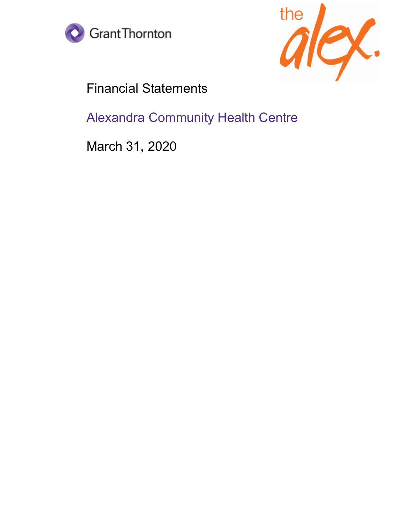



**Financial Statements** 

**Alexandra Community Health Centre** 

March 31, 2020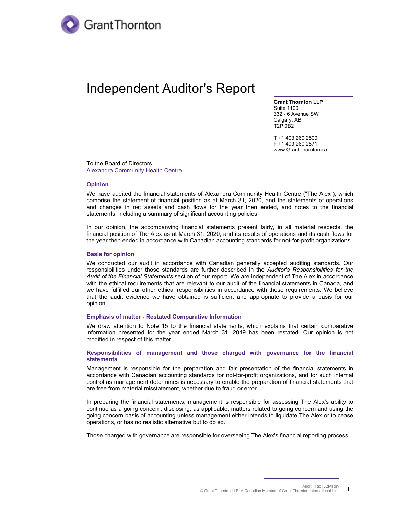

# Independent Auditor's Report

**Grant Thornton LLP Suite 1100** 332 - 6 Avenue SW Calgary, AB T<sub>2</sub>P 0B<sub>2</sub>

T +1 403 260 2500 F +1 403 260 2571 www GrantThornton ca

To the Board of Directors **Alexandra Community Health Centre** 

### **Opinion**

We have audited the financial statements of Alexandra Community Health Centre ("The Alex"), which comprise the statement of financial position as at March 31, 2020, and the statements of operations and changes in net assets and cash flows for the year then ended, and notes to the financial statements, including a summary of significant accounting policies.

In our opinion, the accompanying financial statements present fairly, in all material respects, the financial position of The Alex as at March 31, 2020, and its results of operations and its cash flows for the year then ended in accordance with Canadian accounting standards for not-for-profit organizations.

### **Basis for opinion**

We conducted our audit in accordance with Canadian generally accepted auditing standards. Our responsibilities under those standards are further described in the Auditor's Responsibilities for the Audit of the Financial Statements section of our report. We are independent of The Alex in accordance with the ethical requirements that are relevant to our audit of the financial statements in Canada, and we have fulfilled our other ethical responsibilities in accordance with these requirements. We believe that the audit evidence we have obtained is sufficient and appropriate to provide a basis for our opinion.

### **Emphasis of matter - Restated Comparative Information**

We draw attention to Note 15 to the financial statements, which explains that certain comparative information presented for the year ended March 31, 2019 has been restated. Our opinion is not modified in respect of this matter.

### Responsibilities of management and those charged with governance for the financial statements

Management is responsible for the preparation and fair presentation of the financial statements in accordance with Canadian accounting standards for not-for-profit organizations, and for such internal control as management determines is necessary to enable the preparation of financial statements that are free from material misstatement, whether due to fraud or error.

In preparing the financial statements, management is responsible for assessing The Alex's ability to continue as a going concern, disclosing, as applicable, matters related to going concern and using the going concern basis of accounting unless management either intends to liquidate The Alex or to cease operations, or has no realistic alternative but to do so.

Those charged with governance are responsible for overseeing The Alex's financial reporting process.

Audit | Tax | Advisory  $\mathbf{1}$ © Grant Thornton LLP. A Canadian Member of Grant Thornton International Ltd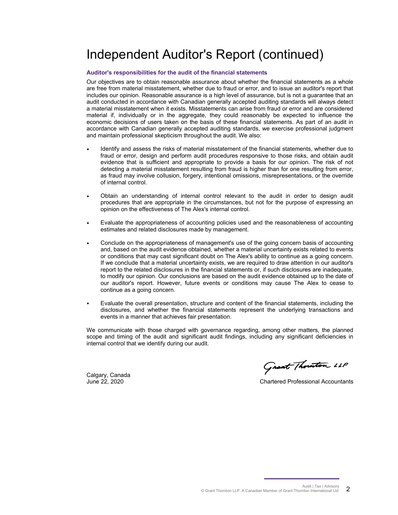# Independent Auditor's Report (continued)

### Auditor's responsibilities for the audit of the financial statements

Our objectives are to obtain reasonable assurance about whether the financial statements as a whole are free from material misstatement, whether due to fraud or error, and to issue an auditor's report that includes our opinion. Reasonable assurance is a high level of assurance, but is not a guarantee that an audit conducted in accordance with Canadian generally accepted auditing standards will always detect a material misstatement when it exists. Misstatements can arise from fraud or error and are considered material if, individually or in the aggregate, they could reasonably be expected to influence the economic decisions of users taken on the basis of these financial statements. As part of an audit in accordance with Canadian generally accepted auditing standards, we exercise professional judgment and maintain professional skepticism throughout the audit. We also:

- Identify and assess the risks of material misstatement of the financial statements, whether due to fraud or error, design and perform audit procedures responsive to those risks, and obtain audit evidence that is sufficient and appropriate to provide a basis for our opinion. The risk of not detecting a material misstatement resulting from fraud is higher than for one resulting from error, as fraud may involve collusion, forgery, intentional omissions, misrepresentations, or the override of internal control.
- Obtain an understanding of internal control relevant to the audit in order to design audit  $\bullet$ procedures that are appropriate in the circumstances, but not for the purpose of expressing an opinion on the effectiveness of The Alex's internal control.
- Evaluate the appropriateness of accounting policies used and the reasonableness of accounting estimates and related disclosures made by management.
- Conclude on the appropriateness of management's use of the going concern basis of accounting and, based on the audit evidence obtained, whether a material uncertainty exists related to events or conditions that may cast significant doubt on The Alex's ability to continue as a going concern. If we conclude that a material uncertainty exists, we are required to draw attention in our auditor's report to the related disclosures in the financial statements or, if such disclosures are inadequate. to modify our opinion. Our conclusions are based on the audit evidence obtained up to the date of our auditor's report. However, future events or conditions may cause The Alex to cease to continue as a going concern.
- Evaluate the overall presentation, structure and content of the financial statements, including the disclosures, and whether the financial statements represent the underlying transactions and events in a manner that achieves fair presentation.

We communicate with those charged with governance regarding, among other matters, the planned scope and timing of the audit and significant audit findings, including any significant deficiencies in internal control that we identify during our audit.

Calgary, Canada June 22, 2020

Grant Thouton LLP

**Chartered Professional Accountants**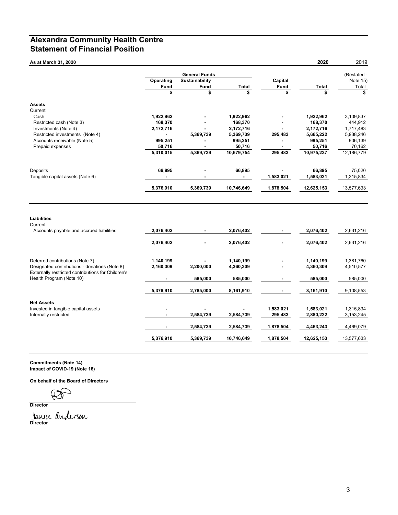# **Alexandra Community Health Centre**<br>Statement of Financial Position

### As at March 31, 2020

| As at March 31, 2020                                                      |                |                       |            |                | 2020       | 2019        |
|---------------------------------------------------------------------------|----------------|-----------------------|------------|----------------|------------|-------------|
|                                                                           |                | <b>General Funds</b>  |            |                |            | (Restated - |
|                                                                           | Operating      | <b>Sustainability</b> |            | Capital        |            | Note 15)    |
|                                                                           | <b>Fund</b>    | <b>Fund</b>           | Total      | Fund           | Total      | Total       |
|                                                                           | \$             | \$                    | \$         | \$             | \$         | \$          |
| <b>Assets</b>                                                             |                |                       |            |                |            |             |
| Current                                                                   |                |                       |            |                |            |             |
| Cash                                                                      | 1,922,962      |                       | 1,922,962  |                | 1,922,962  | 3,109,837   |
| Restricted cash (Note 3)                                                  | 168,370        |                       | 168,370    |                | 168,370    | 444,912     |
| Investments (Note 4)                                                      | 2,172,716      |                       | 2,172,716  |                | 2,172,716  | 1,717,483   |
| Restricted investments (Note 4)                                           |                | 5,369,739             | 5,369,739  | 295,483        | 5,665,222  | 5,938,246   |
| Accounts receivable (Note 5)                                              | 995,251        |                       | 995,251    |                | 995,251    | 906,139     |
| Prepaid expenses                                                          | 50,716         | $\blacksquare$        | 50,716     | $\blacksquare$ | 50,716     | 70,162      |
|                                                                           | 5,310,015      | 5,369,739             | 10,679,754 | 295,483        | 10,975,237 | 12,186,779  |
| Deposits                                                                  | 66,895         |                       | 66,895     |                | 66,895     | 75,020      |
| Tangible capital assets (Note 6)                                          |                |                       |            | 1,583,021      | 1,583,021  | 1,315,834   |
|                                                                           |                |                       |            |                |            |             |
|                                                                           | 5,376,910      | 5,369,739             | 10,746,649 | 1,878,504      | 12,625,153 | 13,577,633  |
| <b>Liabilities</b><br>Current<br>Accounts payable and accrued liabilities | 2,076,402      |                       | 2,076,402  |                | 2,076,402  | 2,631,216   |
|                                                                           |                |                       |            |                |            |             |
|                                                                           | 2,076,402      |                       | 2,076,402  |                | 2,076,402  | 2,631,216   |
| Deferred contributions (Note 7)                                           | 1,140,199      |                       | 1,140,199  |                | 1,140,199  | 1,381,760   |
| Designated contributions - donations (Note 8)                             | 2,160,309      | 2,200,000             | 4,360,309  |                | 4,360,309  | 4,510,577   |
| Externally restricted contributions for Children's                        |                |                       |            |                |            |             |
| Health Program (Note 10)                                                  |                | 585,000               | 585,000    |                | 585,000    | 585,000     |
|                                                                           | 5,376,910      | 2,785,000             | 8,161,910  |                | 8,161,910  | 9,108,553   |
| <b>Net Assets</b>                                                         |                |                       |            |                |            |             |
| Invested in tangible capital assets                                       |                |                       |            | 1,583,021      | 1,583,021  | 1,315,834   |
| Internally restricted                                                     | $\blacksquare$ | 2,584,739             | 2,584,739  | 295,483        | 2,880,222  | 3, 153, 245 |
|                                                                           |                |                       |            |                |            |             |
|                                                                           |                | 2,584,739             | 2,584,739  | 1,878,504      | 4,463,243  | 4,469,079   |
|                                                                           | 5,376,910      | 5,369,739             | 10,746,649 | 1,878,504      | 12,625,153 | 13,577,633  |
|                                                                           |                |                       |            |                |            |             |

**Commitments (Note 14)**<br>Impact of COVID-19 (Note 16)

On behalf of the Board of Directors

 $\mathbb{Q}^p$ **Director** <u>Janice Anderson</u>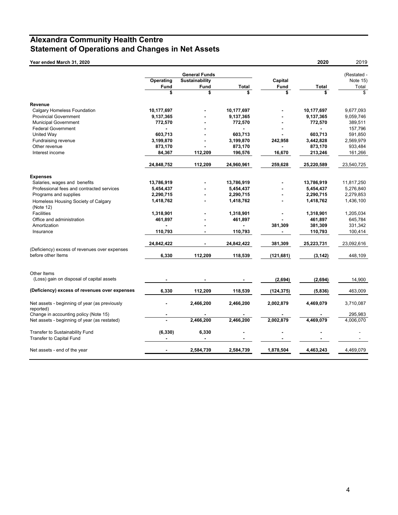# Alexandra Community Health Centre<br>Statement of Operations and Changes in Net Assets

Year ended March 31, 2020

| Year ended March 31, 2020                                           |                |                       |            |            | 2020       | 2019       |
|---------------------------------------------------------------------|----------------|-----------------------|------------|------------|------------|------------|
|                                                                     |                | <b>General Funds</b>  |            |            |            | (Restated  |
|                                                                     | Operating      | <b>Sustainability</b> |            | Capital    |            | Note 15)   |
|                                                                     | Fund           | Fund                  | Total      | Fund       | Total      | Total      |
|                                                                     | \$             | \$                    | \$         | \$         | \$         | \$         |
| Revenue                                                             |                |                       |            |            |            |            |
| <b>Calgary Homeless Foundation</b>                                  | 10,177,697     |                       | 10,177,697 |            | 10,177,697 | 9,677,093  |
| <b>Provincial Government</b>                                        | 9,137,365      |                       | 9,137,365  |            | 9,137,365  | 9,059,746  |
| <b>Municipal Government</b>                                         | 772,570        |                       | 772,570    |            | 772,570    | 389,511    |
| <b>Federal Government</b>                                           |                |                       |            |            |            | 157,796    |
| United Way                                                          | 603,713        |                       | 603,713    |            | 603,713    | 591,850    |
| Fundraising revenue                                                 | 3,199,870      |                       | 3,199,870  | 242,958    | 3,442,828  | 2,569,979  |
| Other revenue                                                       | 873,170        |                       | 873,170    |            | 873,170    | 933,484    |
| Interest income                                                     | 84,367         | 112,209               | 196,576    | 16,670     | 213,246    | 161,266    |
|                                                                     | 24,848,752     | 112,209               | 24,960,961 | 259,628    | 25,220,589 | 23,540,725 |
| <b>Expenses</b>                                                     |                |                       |            |            |            |            |
| Salaries, wages and benefits                                        | 13,786,919     |                       | 13,786,919 |            | 13,786,919 | 11,817,250 |
| Professional fees and contracted services                           | 5,454,437      |                       | 5,454,437  |            | 5,454,437  | 5,276,840  |
| Programs and supplies                                               | 2,290,715      |                       | 2,290,715  |            | 2,290,715  | 2,279,853  |
|                                                                     | 1,418,762      |                       | 1,418,762  |            | 1,418,762  | 1,436,100  |
| Homeless Housing Society of Calgary<br>(Note 12)                    |                |                       |            |            |            |            |
| Facilities                                                          | 1,318,901      |                       | 1,318,901  |            | 1,318,901  | 1,205,034  |
| Office and administration                                           | 461,897        |                       | 461,897    |            | 461,897    | 645,784    |
| Amortization                                                        |                |                       |            | 381,309    | 381,309    | 331,342    |
| Insurance                                                           | 110,793        |                       | 110,793    |            | 110,793    | 100,414    |
|                                                                     | 24,842,422     |                       | 24,842,422 | 381,309    | 25,223,731 | 23,092,616 |
| (Deficiency) excess of revenues over expenses<br>before other Items |                |                       |            |            |            |            |
|                                                                     | 6,330          | 112,209               | 118,539    | (121, 681) | (3, 142)   | 448,109    |
| Other Items                                                         |                |                       |            |            |            |            |
| (Loss) gain on disposal of capital assets                           | $\blacksquare$ |                       |            | (2,694)    | (2,694)    | 14,900     |
| (Deficiency) excess of revenues over expenses                       | 6,330          | 112,209               | 118,539    | (124, 375) | (5,836)    | 463,009    |
| Net assets - beginning of year (as previously                       |                | 2,466,200             | 2,466,200  | 2,002,879  | 4,469,079  | 3,710,087  |
| reported)<br>Change in accounting policy (Note 15)                  |                |                       |            |            |            | 295,983    |
| Net assets - beginning of year (as restated)                        |                | 2,466,200             | 2,466,200  | 2,002,879  | 4,469,079  | 4,006,070  |
| Transfer to Sustainability Fund                                     | (6, 330)       | 6,330                 |            |            |            |            |
| Transfer to Capital Fund                                            |                |                       |            |            |            |            |
| Net assets - end of the year                                        |                | 2,584,739             | 2,584,739  | 1,878,504  | 4,463,243  | 4,469,079  |
|                                                                     |                |                       |            |            |            |            |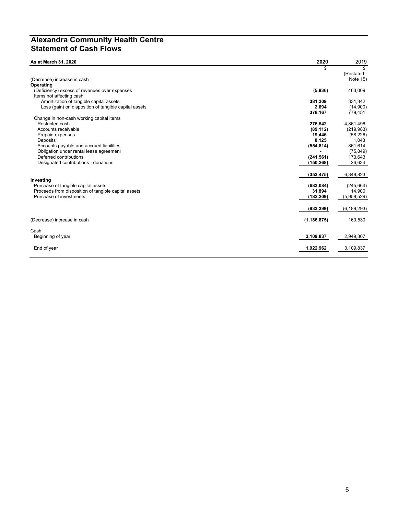### **Alexandra Community Health Centre Statement of Cash Flows**

#### As at March 31, 2020 2020 (Decrease) increase in cash Operating  $(5,836)$ (Deficiency) excess of revenues over expenses items not affecting cash Amortization of tangible capital assets 381,309 Loss (gain) on disposition of tangible capital assets  $2,694$ 378,167 Change in non-cash working capital items Restricted cash 276,542 Accounts receivable  $(89, 112)$ 19,446 Prepaid expenses Deposits 8,125 Accounts payable and accrued liabilities  $(554, 814)$ Obligation under rental lease agreement Deferred contributions  $(241, 561)$ Designated contributions - donations  $(150, 268)$  $(353, 475)$ Investing Purchase of tangible capital assets  $(683, 084)$ Proceeds from disposition of tangible capital assets 31,894 Purchase of investments  $(182, 209)$  $(833, 399)$ (Decrease) increase in cash  $(1, 186, 875)$

Cash Beginning of year 3,109,837 2,949,307 End of year 1,922,962 3,109,837

2019

463,009

331,342

779.451

4,861,496

 $(219, 983)$ 

 $(58, 226)$ 

861,614

 $(75, 849)$ 

173,643

26,634

6,349,823

 $(245, 664)$ 

 $(5,958,529)$  $(6, 189, 293)$ 

160,530

14,900

 $1,043$ 

 $(14,900)$ 

\$ (Restated -Note 15)

Š.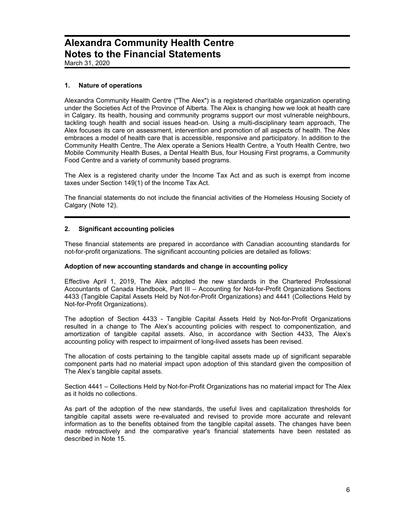March 31, 2020

#### $1.$ **Nature of operations**

Alexandra Community Health Centre ("The Alex") is a registered charitable organization operating under the Societies Act of the Province of Alberta. The Alex is changing how we look at health care in Calgary. Its health, housing and community programs support our most vulnerable neighbours, tackling tough health and social issues head-on. Using a multi-disciplinary team approach, The Alex focuses its care on assessment, intervention and promotion of all aspects of health. The Alex embraces a model of health care that is accessible, responsive and participatory. In addition to the Community Health Centre, The Alex operate a Seniors Health Centre, a Youth Health Centre, two Mobile Community Health Buses, a Dental Health Bus, four Housing First programs, a Community Food Centre and a variety of community based programs.

The Alex is a registered charity under the Income Tax Act and as such is exempt from income taxes under Section 149(1) of the Income Tax Act.

The financial statements do not include the financial activities of the Homeless Housing Society of Calgary (Note 12).

#### $2.$ **Significant accounting policies**

These financial statements are prepared in accordance with Canadian accounting standards for not-for-profit organizations. The significant accounting policies are detailed as follows:

### Adoption of new accounting standards and change in accounting policy

Effective April 1, 2019, The Alex adopted the new standards in the Chartered Professional Accountants of Canada Handbook, Part III - Accounting for Not-for-Profit Organizations Sections 4433 (Tangible Capital Assets Held by Not-for-Profit Organizations) and 4441 (Collections Held by Not-for-Profit Organizations).

The adoption of Section 4433 - Tangible Capital Assets Held by Not-for-Profit Organizations resulted in a change to The Alex's accounting policies with respect to componentization, and amortization of tangible capital assets. Also, in accordance with Section 4433, The Alex's accounting policy with respect to impairment of long-lived assets has been revised.

The allocation of costs pertaining to the tangible capital assets made up of significant separable component parts had no material impact upon adoption of this standard given the composition of The Alex's tangible capital assets.

Section 4441 - Collections Held by Not-for-Profit Organizations has no material impact for The Alex as it holds no collections

As part of the adoption of the new standards, the useful lives and capitalization thresholds for tangible capital assets were re-evaluated and revised to provide more accurate and relevant information as to the benefits obtained from the tangible capital assets. The changes have been made retroactively and the comparative year's financial statements have been restated as described in Note 15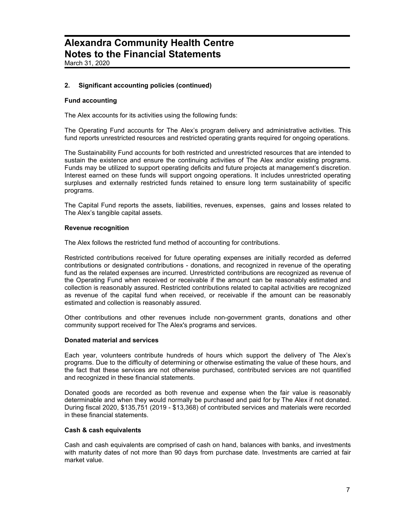March 31, 2020

#### $2.$ **Significant accounting policies (continued)**

### **Fund accounting**

The Alex accounts for its activities using the following funds:

The Operating Fund accounts for The Alex's program delivery and administrative activities. This fund reports unrestricted resources and restricted operating grants required for ongoing operations.

The Sustainability Fund accounts for both restricted and unrestricted resources that are intended to sustain the existence and ensure the continuing activities of The Alex and/or existing programs. Funds may be utilized to support operating deficits and future projects at management's discretion. Interest earned on these funds will support ongoing operations. It includes unrestricted operating surpluses and externally restricted funds retained to ensure long term sustainability of specific programs.

The Capital Fund reports the assets, liabilities, revenues, expenses, gains and losses related to The Alex's tangible capital assets.

### **Revenue recognition**

The Alex follows the restricted fund method of accounting for contributions.

Restricted contributions received for future operating expenses are initially recorded as deferred contributions or designated contributions - donations, and recognized in revenue of the operating fund as the related expenses are incurred. Unrestricted contributions are recognized as revenue of the Operating Fund when received or receivable if the amount can be reasonably estimated and collection is reasonably assured. Restricted contributions related to capital activities are recognized as revenue of the capital fund when received, or receivable if the amount can be reasonably estimated and collection is reasonably assured.

Other contributions and other revenues include non-government grants, donations and other community support received for The Alex's programs and services.

### **Donated material and services**

Each year, volunteers contribute hundreds of hours which support the delivery of The Alex's programs. Due to the difficulty of determining or otherwise estimating the value of these hours, and the fact that these services are not otherwise purchased, contributed services are not quantified and recognized in these financial statements.

Donated goods are recorded as both revenue and expense when the fair value is reasonably determinable and when they would normally be purchased and paid for by The Alex if not donated. During fiscal 2020, \$135,751 (2019 - \$13,368) of contributed services and materials were recorded in these financial statements.

### **Cash & cash equivalents**

Cash and cash equivalents are comprised of cash on hand, balances with banks, and investments with maturity dates of not more than 90 days from purchase date. Investments are carried at fair market value.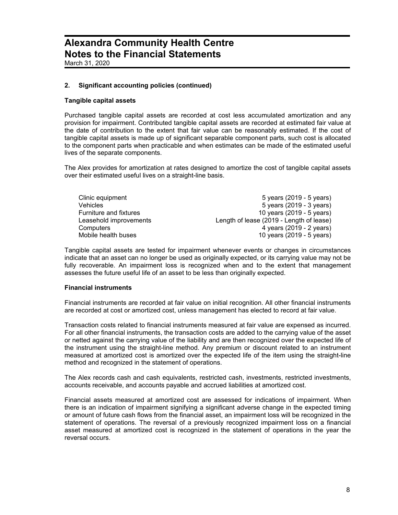March 31, 2020

#### $2.$ **Significant accounting policies (continued)**

### **Tangible capital assets**

Purchased tangible capital assets are recorded at cost less accumulated amortization and any provision for impairment. Contributed tangible capital assets are recorded at estimated fair value at the date of contribution to the extent that fair value can be reasonably estimated. If the cost of tangible capital assets is made up of significant separable component parts, such cost is allocated to the component parts when practicable and when estimates can be made of the estimated useful lives of the separate components.

The Alex provides for amortization at rates designed to amortize the cost of tangible capital assets over their estimated useful lives on a straight-line basis.

| Clinic equipment              | 5 years (2019 - 5 years)                 |
|-------------------------------|------------------------------------------|
| <b>Vehicles</b>               | 5 years (2019 - 3 years)                 |
| <b>Furniture and fixtures</b> | 10 years (2019 - 5 years)                |
| Leasehold improvements        | Length of lease (2019 - Length of lease) |
| Computers                     | 4 years (2019 - 2 years)                 |
| Mobile health buses           | 10 years (2019 - 5 years)                |

Tangible capital assets are tested for impairment whenever events or changes in circumstances indicate that an asset can no longer be used as originally expected, or its carrying value may not be fully recoverable. An impairment loss is recognized when and to the extent that management assesses the future useful life of an asset to be less than originally expected.

### **Financial instruments**

Financial instruments are recorded at fair value on initial recognition. All other financial instruments are recorded at cost or amortized cost, unless management has elected to record at fair value.

Transaction costs related to financial instruments measured at fair value are expensed as incurred. For all other financial instruments, the transaction costs are added to the carrying value of the asset or netted against the carrying value of the liability and are then recognized over the expected life of the instrument using the straight-line method. Any premium or discount related to an instrument measured at amortized cost is amortized over the expected life of the item using the straight-line method and recognized in the statement of operations.

The Alex records cash and cash equivalents, restricted cash, investments, restricted investments, accounts receivable, and accounts payable and accrued liabilities at amortized cost.

Financial assets measured at amortized cost are assessed for indications of impairment. When there is an indication of impairment signifying a significant adverse change in the expected timing or amount of future cash flows from the financial asset, an impairment loss will be recognized in the statement of operations. The reversal of a previously recognized impairment loss on a financial asset measured at amortized cost is recognized in the statement of operations in the year the reversal occurs.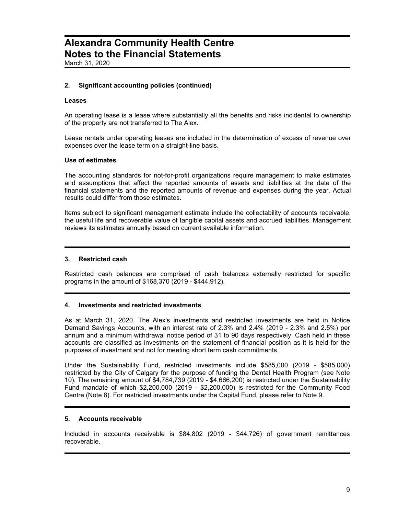March 31, 2020

#### $2.$ **Significant accounting policies (continued)**

### **Leases**

An operating lease is a lease where substantially all the benefits and risks incidental to ownership of the property are not transferred to The Alex.

Lease rentals under operating leases are included in the determination of excess of revenue over expenses over the lease term on a straight-line basis.

### **Use of estimates**

The accounting standards for not-for-profit organizations require management to make estimates and assumptions that affect the reported amounts of assets and liabilities at the date of the financial statements and the reported amounts of revenue and expenses during the year. Actual results could differ from those estimates.

Items subject to significant management estimate include the collectability of accounts receivable, the useful life and recoverable value of tangible capital assets and accrued liabilities. Management reviews its estimates annually based on current available information.

### 3. Restricted cash

Restricted cash balances are comprised of cash balances externally restricted for specific programs in the amount of \$168,370 (2019 - \$444,912).

### 4. Investments and restricted investments

As at March 31, 2020, The Alex's investments and restricted investments are held in Notice Demand Savings Accounts, with an interest rate of 2.3% and 2.4% (2019 - 2.3% and 2.5%) per annum and a minimum withdrawal notice period of 31 to 90 days respectively. Cash held in these accounts are classified as investments on the statement of financial position as it is held for the purposes of investment and not for meeting short term cash commitments.

Under the Sustainability Fund, restricted investments include \$585,000 (2019 - \$585,000) restricted by the City of Calgary for the purpose of funding the Dental Health Program (see Note 10). The remaining amount of \$4,784,739 (2019 - \$4,666,200) is restricted under the Sustainability Fund mandate of which \$2,200,000 (2019 - \$2,200,000) is restricted for the Community Food Centre (Note 8). For restricted investments under the Capital Fund, please refer to Note 9.

#### 5. **Accounts receivable**

Included in accounts receivable is \$84,802 (2019 - \$44,726) of government remittances recoverable.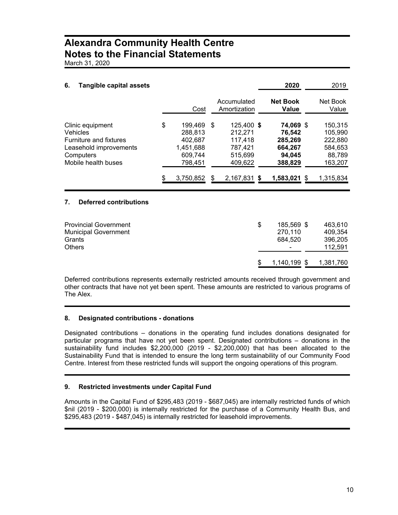March 31, 2020

| 6.<br><b>Tangible capital assets</b>                                                                                 |                                                                        |    |                                                                   | 2020                                                           | 2019                                                          |
|----------------------------------------------------------------------------------------------------------------------|------------------------------------------------------------------------|----|-------------------------------------------------------------------|----------------------------------------------------------------|---------------------------------------------------------------|
|                                                                                                                      | Cost                                                                   |    | Accumulated<br>Amortization                                       | <b>Net Book</b><br><b>Value</b>                                | Net Book<br>Value                                             |
| Clinic equipment<br>Vehicles<br>Furniture and fixtures<br>Leasehold improvements<br>Computers<br>Mobile health buses | \$<br>199,469<br>288,813<br>402,687<br>1,451,688<br>609,744<br>798,451 | \$ | 125,400 \$<br>212,271<br>117,418<br>787,421<br>515,699<br>409,622 | 74,069 \$<br>76,542<br>285,269<br>664,267<br>94,045<br>388,829 | 150,315<br>105,990<br>222,880<br>584,653<br>88,789<br>163,207 |
|                                                                                                                      | 3,750,852                                                              | S  | 2,167,831 \$                                                      | 1,583,021 \$                                                   | 1,315,834                                                     |
| <b>Deferred contributions</b><br>7.                                                                                  |                                                                        |    |                                                                   |                                                                |                                                               |
| <b>Provincial Government</b><br><b>Municipal Government</b><br>Grants<br>Others                                      |                                                                        |    |                                                                   | \$<br>185,569 \$<br>270,110<br>684,520                         | 463,610<br>409,354<br>396,205<br>112,591                      |
|                                                                                                                      |                                                                        |    |                                                                   | \$<br>1,140,199 \$                                             | 1,381,760                                                     |

Deferred contributions represents externally restricted amounts received through government and other contracts that have not yet been spent. These amounts are restricted to various programs of The Alex.

#### 8. **Designated contributions - donations**

Designated contributions – donations in the operating fund includes donations designated for particular programs that have not yet been spent. Designated contributions - donations in the sustainability fund includes \$2,200,000 (2019 - \$2,200,000) that has been allocated to the Sustainability Fund that is intended to ensure the long term sustainability of our Community Food Centre. Interest from these restricted funds will support the ongoing operations of this program.

#### 9. **Restricted investments under Capital Fund**

Amounts in the Capital Fund of \$295,483 (2019 - \$687,045) are internally restricted funds of which \$nil (2019 - \$200,000) is internally restricted for the purchase of a Community Health Bus, and \$295,483 (2019 - \$487,045) is internally restricted for leasehold improvements.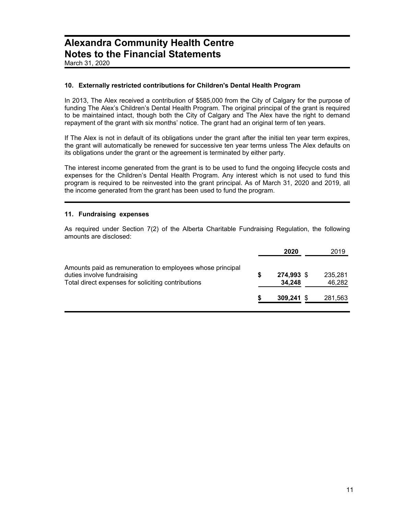March 31, 2020

### 10. Externally restricted contributions for Children's Dental Health Program

In 2013, The Alex received a contribution of \$585,000 from the City of Calgary for the purpose of funding The Alex's Children's Dental Health Program. The original principal of the grant is required to be maintained intact, though both the City of Calgary and The Alex have the right to demand repayment of the grant with six months' notice. The grant had an original term of ten years.

If The Alex is not in default of its obligations under the grant after the initial ten year term expires, the grant will automatically be renewed for successive ten year terms unless The Alex defaults on its obligations under the grant or the agreement is terminated by either party.

The interest income generated from the grant is to be used to fund the ongoing lifecycle costs and expenses for the Children's Dental Health Program. Any interest which is not used to fund this program is required to be reinvested into the grant principal. As of March 31, 2020 and 2019, all the income generated from the grant has been used to fund the program.

### 11. Fundraising expenses

As required under Section 7(2) of the Alberta Charitable Fundraising Regulation, the following amounts are disclosed:

|                                                                                                                                               | 2020                 | 2019              |
|-----------------------------------------------------------------------------------------------------------------------------------------------|----------------------|-------------------|
| Amounts paid as remuneration to employees whose principal<br>duties involve fundraising<br>Total direct expenses for soliciting contributions | 274,993 \$<br>34,248 | 235,281<br>46,282 |
|                                                                                                                                               | $309,241$ \$         | 281,563           |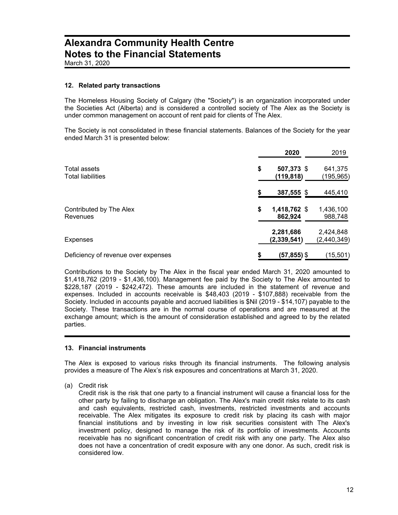March 31, 2020

### 12. Related party transactions

The Homeless Housing Society of Calgary (the "Society") is an organization incorporated under the Societies Act (Alberta) and is considered a controlled society of The Alex as the Society is under common management on account of rent paid for clients of The Alex.

The Society is not consolidated in these financial statements. Balances of the Society for the year ended March 31 is presented below:

|                                          | 2020                           | 2019                     |
|------------------------------------------|--------------------------------|--------------------------|
| Total assets<br><b>Total liabilities</b> | \$<br>507,373 \$<br>(119, 818) | 641,375<br>(195, 965)    |
|                                          | 387,555 \$                     | 445,410                  |
| Contributed by The Alex<br>Revenues      | \$<br>1,418,762 \$<br>862,924  | 1,436,100<br>988,748     |
| Expenses                                 | 2,281,686<br>(2, 339, 541)     | 2,424,848<br>(2,440,349) |
| Deficiency of revenue over expenses      | \$<br>(57,855) \$              | (15,501)                 |

Contributions to the Society by The Alex in the fiscal year ended March 31, 2020 amounted to \$1,418,762 (2019 - \$1,436,100). Management fee paid by the Society to The Alex amounted to \$228,187 (2019 - \$242,472). These amounts are included in the statement of revenue and expenses. Included in accounts receivable is \$48,403 (2019 - \$107,888) receivable from the Society. Included in accounts payable and accrued liabilities is \$Nil (2019 - \$14,107) payable to the Society. These transactions are in the normal course of operations and are measured at the exchange amount; which is the amount of consideration established and agreed to by the related parties.

### 13. Financial instruments

The Alex is exposed to various risks through its financial instruments. The following analysis provides a measure of The Alex's risk exposures and concentrations at March 31, 2020.

(a) Credit risk

Credit risk is the risk that one party to a financial instrument will cause a financial loss for the other party by failing to discharge an obligation. The Alex's main credit risks relate to its cash and cash equivalents, restricted cash, investments, restricted investments and accounts receivable. The Alex mitigates its exposure to credit risk by placing its cash with major financial institutions and by investing in low risk securities consistent with The Alex's investment policy, designed to manage the risk of its portfolio of investments. Accounts receivable has no significant concentration of credit risk with any one party. The Alex also does not have a concentration of credit exposure with any one donor. As such, credit risk is considered low.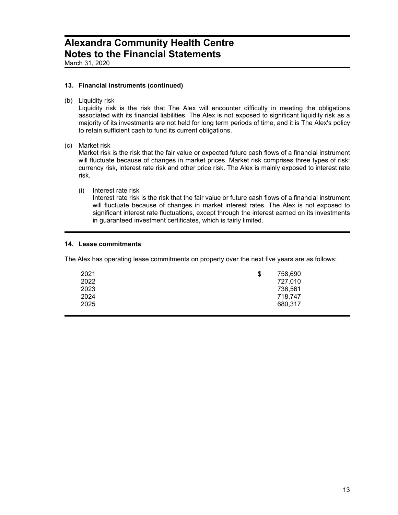### 13. Financial instruments (continued)

(b) Liquidity risk

Liquidity risk is the risk that The Alex will encounter difficulty in meeting the obligations associated with its financial liabilities. The Alex is not exposed to significant liquidity risk as a majority of its investments are not held for long term periods of time, and it is The Alex's policy to retain sufficient cash to fund its current obligations.

(c) Market risk

Market risk is the risk that the fair value or expected future cash flows of a financial instrument will fluctuate because of changes in market prices. Market risk comprises three types of risk: currency risk, interest rate risk and other price risk. The Alex is mainly exposed to interest rate risk.

 $(i)$ Interest rate risk

> Interest rate risk is the risk that the fair value or future cash flows of a financial instrument will fluctuate because of changes in market interest rates. The Alex is not exposed to significant interest rate fluctuations, except through the interest earned on its investments in guaranteed investment certificates, which is fairly limited.

### 14. Lease commitments

The Alex has operating lease commitments on property over the next five years are as follows:

|  | 2021<br>758,690<br>S<br>2022<br>2023<br>2024<br>2025 | 727,010<br>736,561<br>718.747<br>680,317 |
|--|------------------------------------------------------|------------------------------------------|
|--|------------------------------------------------------|------------------------------------------|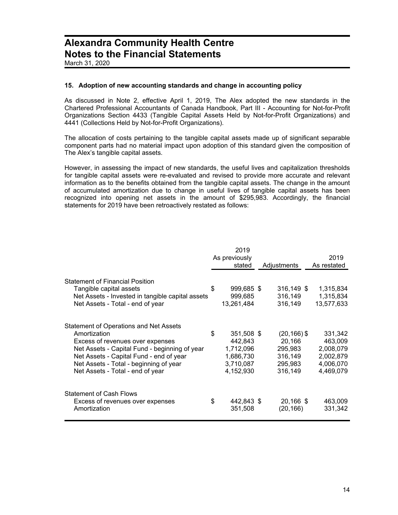March 31, 2020

### 15. Adoption of new accounting standards and change in accounting policy

As discussed in Note 2, effective April 1, 2019, The Alex adopted the new standards in the Chartered Professional Accountants of Canada Handbook, Part III - Accounting for Not-for-Profit Organizations Section 4433 (Tangible Capital Assets Held by Not-for-Profit Organizations) and 4441 (Collections Held by Not-for-Profit Organizations).

The allocation of costs pertaining to the tangible capital assets made up of significant separable component parts had no material impact upon adoption of this standard given the composition of The Alex's tangible capital assets.

However, in assessing the impact of new standards, the useful lives and capitalization thresholds for tangible capital assets were re-evaluated and revised to provide more accurate and relevant information as to the benefits obtained from the tangible capital assets. The change in the amount of accumulated amortization due to change in useful lives of tangible capital assets has been recognized into opening net assets in the amount of \$295,983. Accordingly, the financial statements for 2019 have been retroactively restated as follows:

|                                                                                                                                                                                                                                                                             | 2019<br>As previously<br>stated                                                 | Adjustments                                                          | 2019<br>As restated                                                    |
|-----------------------------------------------------------------------------------------------------------------------------------------------------------------------------------------------------------------------------------------------------------------------------|---------------------------------------------------------------------------------|----------------------------------------------------------------------|------------------------------------------------------------------------|
| <b>Statement of Financial Position</b><br>Tangible capital assets<br>Net Assets - Invested in tangible capital assets<br>Net Assets - Total - end of year                                                                                                                   | \$<br>999,685 \$<br>999,685<br>13,261,484                                       | 316,149 \$<br>316,149<br>316,149                                     | 1,315,834<br>1,315,834<br>13,577,633                                   |
| <b>Statement of Operations and Net Assets</b><br>Amortization<br>Excess of revenues over expenses<br>Net Assets - Capital Fund - beginning of year<br>Net Assets - Capital Fund - end of year<br>Net Assets - Total - beginning of year<br>Net Assets - Total - end of year | \$<br>351,508 \$<br>442,843<br>1,712,096<br>1,686,730<br>3,710,087<br>4,152,930 | $(20, 166)$ \$<br>20,166<br>295,983<br>316,149<br>295,983<br>316,149 | 331,342<br>463,009<br>2,008,079<br>2,002,879<br>4,006,070<br>4,469,079 |
| <b>Statement of Cash Flows</b><br>Excess of revenues over expenses<br>Amortization                                                                                                                                                                                          | \$<br>442,843 \$<br>351,508                                                     | 20,166 \$<br>(20,166)                                                | 463,009<br>331,342                                                     |